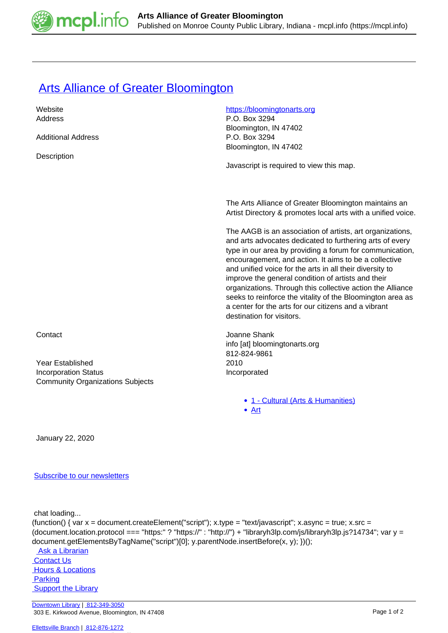

## **[Arts Alliance of Greater Bloomington](https://mcpl.info/commorg/arts-alliance-greater-bloomington)**

| Website                                 | https://bloomingtonarts.org                                  |
|-----------------------------------------|--------------------------------------------------------------|
| Address                                 | P.O. Box 3294                                                |
|                                         | Bloomington, IN 47402                                        |
| <b>Additional Address</b>               | P.O. Box 3294                                                |
|                                         | Bloomington, IN 47402                                        |
| Description                             |                                                              |
|                                         | Javascript is required to view this map.                     |
|                                         |                                                              |
|                                         |                                                              |
|                                         |                                                              |
|                                         | The Arts Alliance of Greater Bloomington maintains an        |
|                                         | Artist Directory & promotes local arts with a unified voice. |
|                                         | The AAGB is an association of artists, art organizations,    |
|                                         | and arts advocates dedicated to furthering arts of every     |
|                                         | type in our area by providing a forum for communication,     |
|                                         | encouragement, and action. It aims to be a collective        |
|                                         | and unified voice for the arts in all their diversity to     |
|                                         | improve the general condition of artists and their           |
|                                         | organizations. Through this collective action the Alliance   |
|                                         | seeks to reinforce the vitality of the Bloomington area as   |
|                                         | a center for the arts for our citizens and a vibrant         |
|                                         | destination for visitors.                                    |
|                                         |                                                              |
| Contact                                 | Joanne Shank                                                 |
|                                         | info [at] bloomingtonarts.org                                |
|                                         | 812-824-9861                                                 |
| <b>Year Established</b>                 | 2010                                                         |
| <b>Incorporation Status</b>             | Incorporated                                                 |
| <b>Community Organizations Subjects</b> |                                                              |
|                                         |                                                              |

• [1 - Cultural \(Arts & Humanities\)](https://mcpl.info/community-organization-subjects/24945)

[Art](https://mcpl.info/taxonomy/term/25010)

January 22, 2020

## [Subscribe to our newsletters](https://mcpl.info/geninfo/subscribe-think-library-newsletter)

chat loading...

```
(function() { var x = document.createElement("script"); x.type = "text/javascript"; x.async = true; x.src =
(document.location.protocol === "https:" ? "https://" : "http://") + "libraryh3lp.com/js/libraryh3lp.js?14734"; var y =
document.getElementsByTagName("script")[0]; y.parentNode.insertBefore(x, y); })(); 
  Ask a Librarian
```
 [Contact Us](https://mcpl.info/geninfo/contact-us) **Hours & Locations Parking Support the Library**